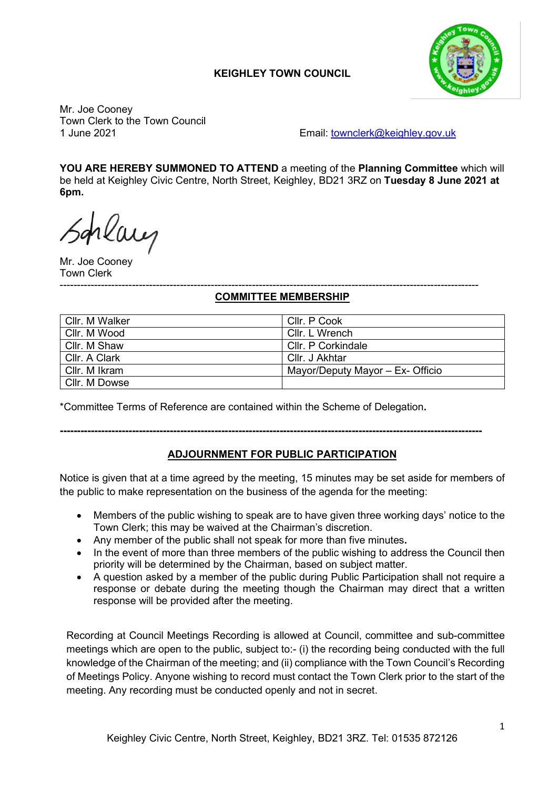### **KEIGHLEY TOWN COUNCIL**



Mr. Joe Cooney Town Clerk to the Town Council<br>1 June 2021

Email: [townclerk@keighley.gov.uk](mailto:townclerk@keighley.gov.uk)

**YOU ARE HEREBY SUMMONED TO ATTEND** a meeting of the **Planning Committee** which will be held at Keighley Civic Centre, North Street, Keighley, BD21 3RZ on **Tuesday 8 June 2021 at 6pm.**

Schlaug

Mr. Joe Cooney Town Clerk

#### -------------------------------------------------------------------------------------------------------------------------- **COMMITTEE MEMBERSHIP**

| Cllr. M Walker | Cllr. P Cook                     |
|----------------|----------------------------------|
| Cllr. M Wood   | Cllr. L Wrench                   |
| Cllr. M Shaw   | Cllr. P Corkindale               |
| Cllr. A Clark  | Cllr. J Akhtar                   |
| Cllr. M Ikram  | Mayor/Deputy Mayor - Ex- Officio |
| Cllr. M Dowse  |                                  |

\*Committee Terms of Reference are contained within the Scheme of Delegation**.**

### **---------------------------------------------------------------------------------------------------------------------------**

### **ADJOURNMENT FOR PUBLIC PARTICIPATION**

Notice is given that at a time agreed by the meeting, 15 minutes may be set aside for members of the public to make representation on the business of the agenda for the meeting:

- Members of the public wishing to speak are to have given three working days' notice to the Town Clerk; this may be waived at the Chairman's discretion.
- Any member of the public shall not speak for more than five minutes**.**
- In the event of more than three members of the public wishing to address the Council then priority will be determined by the Chairman, based on subject matter.
- A question asked by a member of the public during Public Participation shall not require a response or debate during the meeting though the Chairman may direct that a written response will be provided after the meeting.

Recording at Council Meetings Recording is allowed at Council, committee and sub-committee meetings which are open to the public, subject to:- (i) the recording being conducted with the full knowledge of the Chairman of the meeting; and (ii) compliance with the Town Council's Recording of Meetings Policy. Anyone wishing to record must contact the Town Clerk prior to the start of the meeting. Any recording must be conducted openly and not in secret.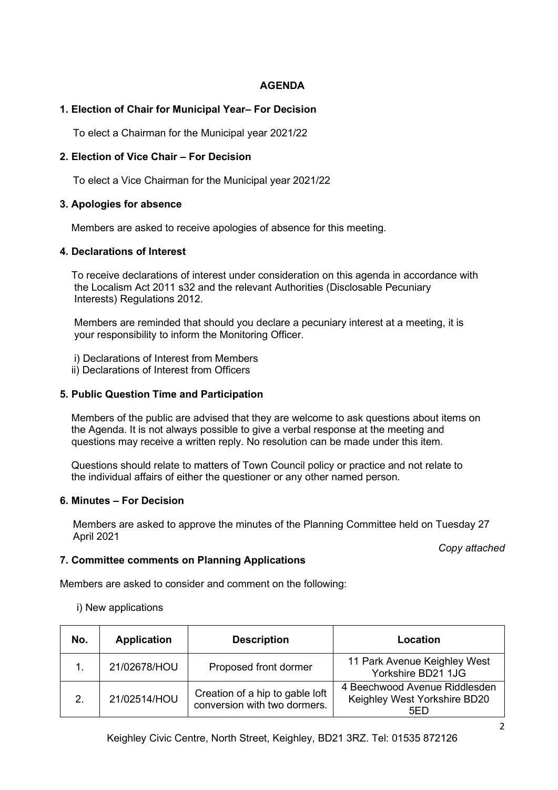### **AGENDA**

### **1. Election of Chair for Municipal Year– For Decision**

To elect a Chairman for the Municipal year 2021/22

### **2. Election of Vice Chair – For Decision**

To elect a Vice Chairman for the Municipal year 2021/22

### **3. Apologies for absence**

Members are asked to receive apologies of absence for this meeting.

#### **4. Declarations of Interest**

 To receive declarations of interest under consideration on this agenda in accordance with the Localism Act 2011 s32 and the relevant Authorities (Disclosable Pecuniary Interests) Regulations 2012.

 Members are reminded that should you declare a pecuniary interest at a meeting, it is your responsibility to inform the Monitoring Officer.

- i) Declarations of Interest from Members
- ii) Declarations of Interest from Officers

#### **5. Public Question Time and Participation**

 Members of the public are advised that they are welcome to ask questions about items on the Agenda. It is not always possible to give a verbal response at the meeting and questions may receive a written reply. No resolution can be made under this item.

 Questions should relate to matters of Town Council policy or practice and not relate to the individual affairs of either the questioner or any other named person.

#### **6. Minutes – For Decision**

Members are asked to approve the minutes of the Planning Committee held on Tuesday 27 April 2021

*Copy attached*

#### **7. Committee comments on Planning Applications**

Members are asked to consider and comment on the following:

i) New applications

| No.           | <b>Application</b> | <b>Description</b>                                              | Location                                                             |
|---------------|--------------------|-----------------------------------------------------------------|----------------------------------------------------------------------|
|               | 21/02678/HOU       | Proposed front dormer                                           | 11 Park Avenue Keighley West<br>Yorkshire BD21 1JG                   |
| $\mathcal{P}$ | 21/02514/HOU       | Creation of a hip to gable loft<br>conversion with two dormers. | 4 Beechwood Avenue Riddlesden<br>Keighley West Yorkshire BD20<br>5ED |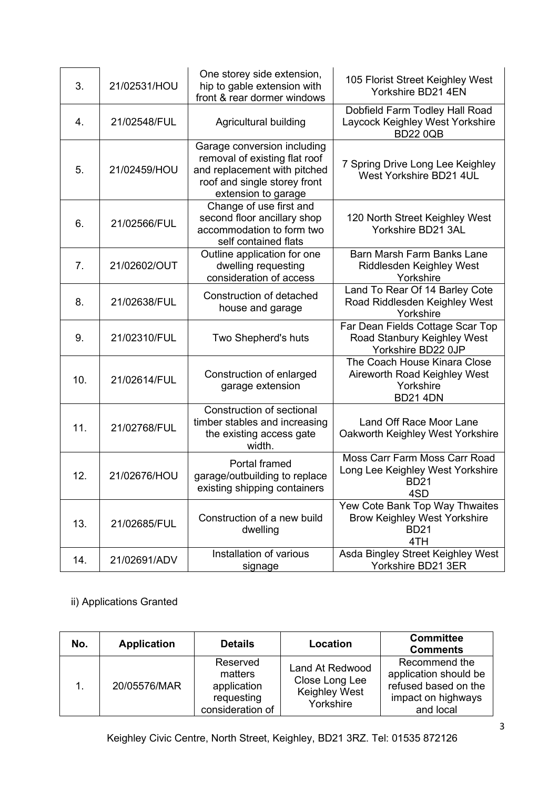| 3.  | 21/02531/HOU | One storey side extension,<br>hip to gable extension with<br>front & rear dormer windows                                                            | 105 Florist Street Keighley West<br>Yorkshire BD21 4EN                                                                           |
|-----|--------------|-----------------------------------------------------------------------------------------------------------------------------------------------------|----------------------------------------------------------------------------------------------------------------------------------|
| 4.  | 21/02548/FUL | Agricultural building                                                                                                                               | Dobfield Farm Todley Hall Road<br>Laycock Keighley West Yorkshire<br><b>BD22 0QB</b>                                             |
| 5.  | 21/02459/HOU | Garage conversion including<br>removal of existing flat roof<br>and replacement with pitched<br>roof and single storey front<br>extension to garage | 7 Spring Drive Long Lee Keighley<br>West Yorkshire BD21 4UL                                                                      |
| 6.  | 21/02566/FUL | Change of use first and<br>second floor ancillary shop<br>accommodation to form two<br>self contained flats                                         | 120 North Street Keighley West<br>Yorkshire BD21 3AL                                                                             |
| 7.  | 21/02602/OUT | Outline application for one<br>dwelling requesting<br>consideration of access                                                                       | Barn Marsh Farm Banks Lane<br>Riddlesden Keighley West<br>Yorkshire                                                              |
| 8.  | 21/02638/FUL | Construction of detached<br>house and garage                                                                                                        | Land To Rear Of 14 Barley Cote<br>Road Riddlesden Keighley West<br>Yorkshire                                                     |
| 9.  | 21/02310/FUL | Two Shepherd's huts                                                                                                                                 | Far Dean Fields Cottage Scar Top<br>Road Stanbury Keighley West<br>Yorkshire BD22 0JP                                            |
| 10. | 21/02614/FUL | Construction of enlarged<br>garage extension                                                                                                        | The Coach House Kinara Close<br>Aireworth Road Keighley West<br>Yorkshire<br><b>BD21 4DN</b>                                     |
| 11. | 21/02768/FUL | Construction of sectional<br>timber stables and increasing                                                                                          | Land Off Race Moor Lane                                                                                                          |
|     |              | the existing access gate<br>width.                                                                                                                  | Oakworth Keighley West Yorkshire                                                                                                 |
| 12. | 21/02676/HOU | Portal framed<br>garage/outbuilding to replace<br>existing shipping containers                                                                      | Moss Carr Farm Moss Carr Road<br>Long Lee Keighley West Yorkshire<br><b>BD21</b><br>4SD                                          |
| 13. | 21/02685/FUL | Construction of a new build<br>dwelling                                                                                                             | Yew Cote Bank Top Way Thwaites<br><b>Brow Keighley West Yorkshire</b><br><b>BD21</b><br>4TH<br>Asda Bingley Street Keighley West |

ii) Applications Granted

| No. | <b>Application</b> | <b>Details</b>                                                       | Location                                                               | <b>Committee</b><br><b>Comments</b>                                                               |
|-----|--------------------|----------------------------------------------------------------------|------------------------------------------------------------------------|---------------------------------------------------------------------------------------------------|
|     | 20/05576/MAR       | Reserved<br>matters<br>application<br>requesting<br>consideration of | Land At Redwood<br>Close Long Lee<br><b>Keighley West</b><br>Yorkshire | Recommend the<br>application should be<br>refused based on the<br>impact on highways<br>and local |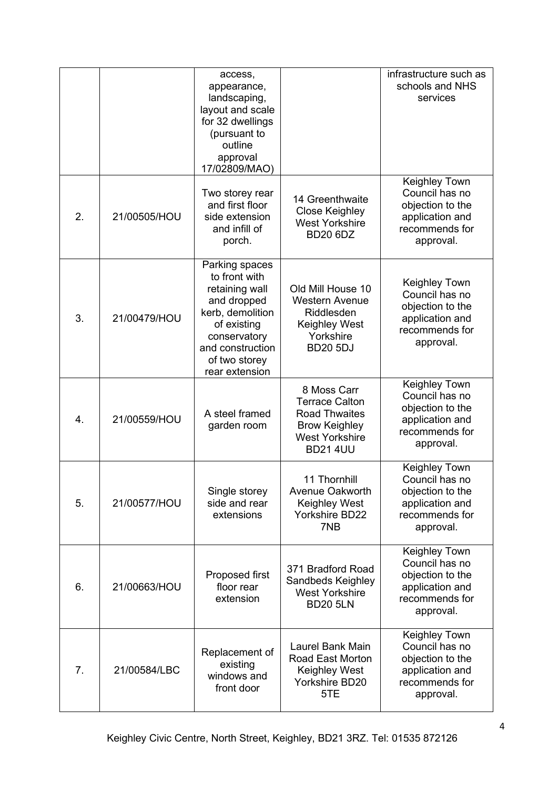|    |              | access,<br>appearance,<br>landscaping,<br>layout and scale<br>for 32 dwellings<br>(pursuant to<br>outline<br>approval<br>17/02809/MAO)                                     |                                                                                                                                  | infrastructure such as<br>schools and NHS<br>services                                                 |
|----|--------------|----------------------------------------------------------------------------------------------------------------------------------------------------------------------------|----------------------------------------------------------------------------------------------------------------------------------|-------------------------------------------------------------------------------------------------------|
| 2. | 21/00505/HOU | Two storey rear<br>and first floor<br>side extension<br>and infill of<br>porch.                                                                                            | 14 Greenthwaite<br><b>Close Keighley</b><br><b>West Yorkshire</b><br><b>BD20 6DZ</b>                                             | Keighley Town<br>Council has no<br>objection to the<br>application and<br>recommends for<br>approval. |
| 3. | 21/00479/HOU | Parking spaces<br>to front with<br>retaining wall<br>and dropped<br>kerb, demolition<br>of existing<br>conservatory<br>and construction<br>of two storey<br>rear extension | Old Mill House 10<br><b>Western Avenue</b><br>Riddlesden<br><b>Keighley West</b><br>Yorkshire<br><b>BD20 5DJ</b>                 | Keighley Town<br>Council has no<br>objection to the<br>application and<br>recommends for<br>approval. |
| 4. | 21/00559/HOU | A steel framed<br>garden room                                                                                                                                              | 8 Moss Carr<br><b>Terrace Calton</b><br><b>Road Thwaites</b><br><b>Brow Keighley</b><br><b>West Yorkshire</b><br><b>BD21 4UU</b> | Keighley Town<br>Council has no<br>objection to the<br>application and<br>recommends for<br>approval. |
| 5. | 21/00577/HOU | Single storey<br>side and rear<br>extensions                                                                                                                               | 11 Thornhill<br><b>Avenue Oakworth</b><br>Keighley West<br><b>Yorkshire BD22</b><br>7NB                                          | Keighley Town<br>Council has no<br>objection to the<br>application and<br>recommends for<br>approval. |
| 6. | 21/00663/HOU | Proposed first<br>floor rear<br>extension                                                                                                                                  | 371 Bradford Road<br>Sandbeds Keighley<br><b>West Yorkshire</b><br><b>BD20 5LN</b>                                               | Keighley Town<br>Council has no<br>objection to the<br>application and<br>recommends for<br>approval. |
| 7. | 21/00584/LBC | Replacement of<br>existing<br>windows and<br>front door                                                                                                                    | Laurel Bank Main<br>Road East Morton<br>Keighley West<br>Yorkshire BD20<br>5TE                                                   | Keighley Town<br>Council has no<br>objection to the<br>application and<br>recommends for<br>approval. |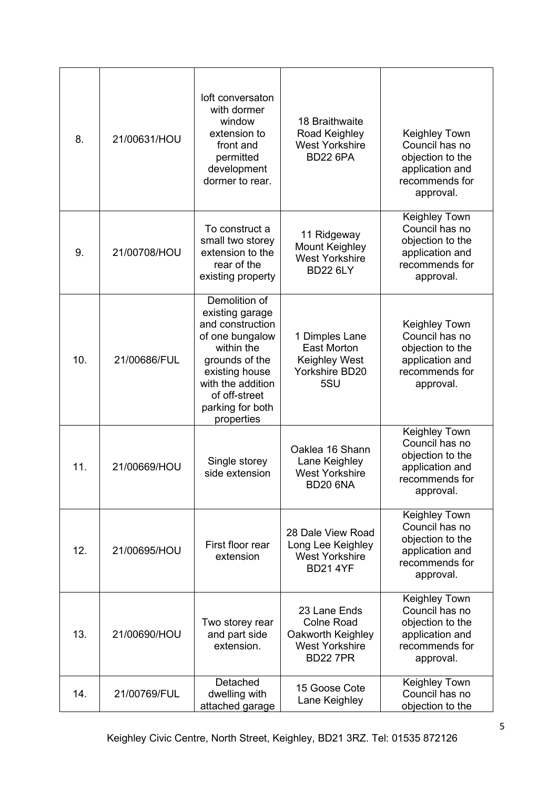| 8.  | 21/00631/HOU | loft conversaton<br>with dormer<br>window<br>extension to<br>front and<br>permitted<br>development<br>dormer to rear.                                                                             | 18 Braithwaite<br>Road Keighley<br><b>West Yorkshire</b><br><b>BD22 6PA</b>                        | Keighley Town<br>Council has no<br>objection to the<br>application and<br>recommends for<br>approval. |
|-----|--------------|---------------------------------------------------------------------------------------------------------------------------------------------------------------------------------------------------|----------------------------------------------------------------------------------------------------|-------------------------------------------------------------------------------------------------------|
| 9.  | 21/00708/HOU | To construct a<br>small two storey<br>extension to the<br>rear of the<br>existing property                                                                                                        | 11 Ridgeway<br><b>Mount Keighley</b><br><b>West Yorkshire</b><br><b>BD22 6LY</b>                   | Keighley Town<br>Council has no<br>objection to the<br>application and<br>recommends for<br>approval. |
| 10. | 21/00686/FUL | Demolition of<br>existing garage<br>and construction<br>of one bungalow<br>within the<br>grounds of the<br>existing house<br>with the addition<br>of off-street<br>parking for both<br>properties | 1 Dimples Lane<br><b>East Morton</b><br><b>Keighley West</b><br>Yorkshire BD20<br>5SU              | Keighley Town<br>Council has no<br>objection to the<br>application and<br>recommends for<br>approval. |
| 11. | 21/00669/HOU | Single storey<br>side extension                                                                                                                                                                   | Oaklea 16 Shann<br>Lane Keighley<br><b>West Yorkshire</b><br><b>BD20 6NA</b>                       | Keighley Town<br>Council has no<br>objection to the<br>application and<br>recommends for<br>approval. |
| 12. | 21/00695/HOU | First floor rear<br>extension                                                                                                                                                                     | 28 Dale View Road<br>Long Lee Keighley<br><b>West Yorkshire</b><br><b>BD21 4YF</b>                 | Keighley Town<br>Council has no<br>objection to the<br>application and<br>recommends for<br>approval. |
| 13. | 21/00690/HOU | Two storey rear<br>and part side<br>extension.                                                                                                                                                    | 23 Lane Ends<br><b>Colne Road</b><br>Oakworth Keighley<br><b>West Yorkshire</b><br><b>BD22 7PR</b> | Keighley Town<br>Council has no<br>objection to the<br>application and<br>recommends for<br>approval. |
| 14. | 21/00769/FUL | Detached<br>dwelling with<br>attached garage                                                                                                                                                      | 15 Goose Cote<br>Lane Keighley                                                                     | Keighley Town<br>Council has no<br>objection to the                                                   |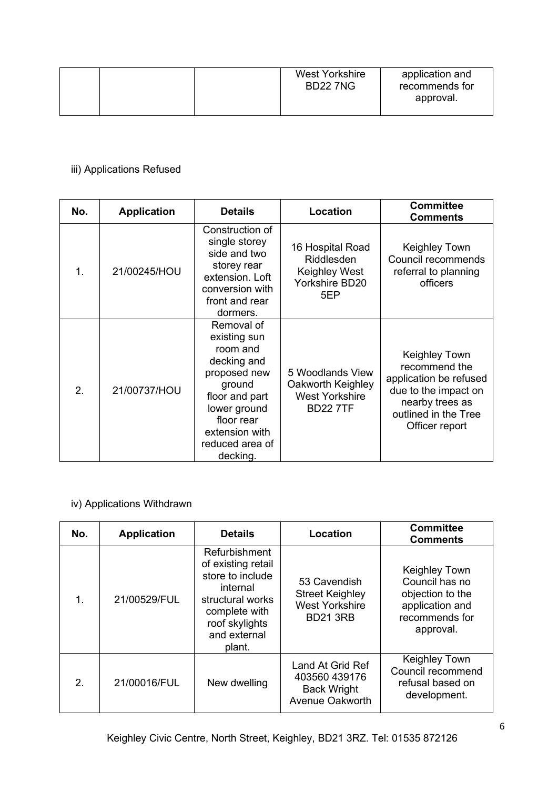|  |  | <b>West Yorkshire</b><br><b>BD22 7NG</b> | application and<br>recommends for<br>approval. |
|--|--|------------------------------------------|------------------------------------------------|
|  |  |                                          |                                                |

### iii) Applications Refused

| No.            | <b>Application</b> | <b>Details</b>                                                                                                                                                                   | Location                                                                         | <b>Committee</b><br><b>Comments</b>                                                                                                           |
|----------------|--------------------|----------------------------------------------------------------------------------------------------------------------------------------------------------------------------------|----------------------------------------------------------------------------------|-----------------------------------------------------------------------------------------------------------------------------------------------|
| $\mathbf{1}$ . | 21/00245/HOU       | Construction of<br>single storey<br>side and two<br>storey rear<br>extension. Loft<br>conversion with<br>front and rear<br>dormers.                                              | 16 Hospital Road<br>Riddlesden<br>Keighley West<br>Yorkshire BD20<br>5EP         | Keighley Town<br>Council recommends<br>referral to planning<br>officers                                                                       |
| 2.             | 21/00737/HOU       | Removal of<br>existing sun<br>room and<br>decking and<br>proposed new<br>ground<br>floor and part<br>lower ground<br>floor rear<br>extension with<br>reduced area of<br>decking. | 5 Woodlands View<br>Oakworth Keighley<br><b>West Yorkshire</b><br><b>BD227TF</b> | Keighley Town<br>recommend the<br>application be refused<br>due to the impact on<br>nearby trees as<br>outlined in the Tree<br>Officer report |

# iv) Applications Withdrawn

| No.           | <b>Application</b> | <b>Details</b>                                                                                                                                       | Location                                                                           | <b>Committee</b><br><b>Comments</b>                                                                   |
|---------------|--------------------|------------------------------------------------------------------------------------------------------------------------------------------------------|------------------------------------------------------------------------------------|-------------------------------------------------------------------------------------------------------|
| 1.            | 21/00529/FUL       | Refurbishment<br>of existing retail<br>store to include<br>internal<br>structural works<br>complete with<br>roof skylights<br>and external<br>plant. | 53 Cavendish<br><b>Street Keighley</b><br><b>West Yorkshire</b><br><b>BD21 3RB</b> | Keighley Town<br>Council has no<br>objection to the<br>application and<br>recommends for<br>approval. |
| $\mathcal{P}$ | 21/00016/FUL       | New dwelling                                                                                                                                         | Land At Grid Ref<br>403560 439176<br><b>Back Wright</b><br><b>Avenue Oakworth</b>  | Keighley Town<br>Council recommend<br>refusal based on<br>development.                                |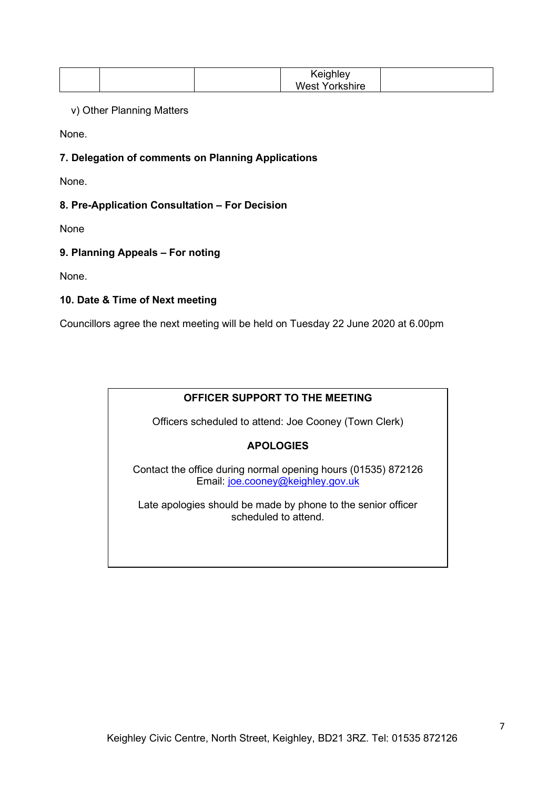|  | Keighley       |  |
|--|----------------|--|
|  | West Yorkshire |  |

v) Other Planning Matters

None.

### **7. Delegation of comments on Planning Applications**

None.

### **8. Pre-Application Consultation – For Decision**

None

### **9. Planning Appeals – For noting**

None.

### **10. Date & Time of Next meeting**

Councillors agree the next meeting will be held on Tuesday 22 June 2020 at 6.00pm

## **OFFICER SUPPORT TO THE MEETING**

Officers scheduled to attend: Joe Cooney (Town Clerk)

### **APOLOGIES**

Contact the office during normal opening hours (01535) 872126 Email: [joe.cooney@keighley.gov.uk](mailto:joe.cooney@keighley.gov.uk) 

Late apologies should be made by phone to the senior officer scheduled to attend.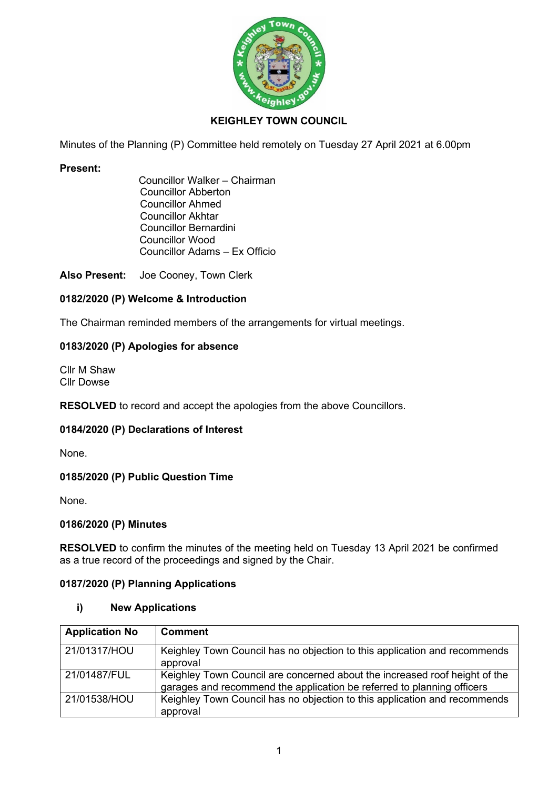

### **KEIGHLEY TOWN COUNCIL**

Minutes of the Planning (P) Committee held remotely on Tuesday 27 April 2021 at 6.00pm

#### **Present:**

 Councillor Walker – Chairman Councillor Abberton Councillor Ahmed Councillor Akhtar Councillor Bernardini Councillor Wood Councillor Adams – Ex Officio

**Also Present:** Joe Cooney, Town Clerk

#### **0182/2020 (P) Welcome & Introduction**

The Chairman reminded members of the arrangements for virtual meetings.

#### **0183/2020 (P) Apologies for absence**

Cllr M Shaw Cllr Dowse

**RESOLVED** to record and accept the apologies from the above Councillors.

#### **0184/2020 (P) Declarations of Interest**

None.

#### **0185/2020 (P) Public Question Time**

None.

#### **0186/2020 (P) Minutes**

**RESOLVED** to confirm the minutes of the meeting held on Tuesday 13 April 2021 be confirmed as a true record of the proceedings and signed by the Chair.

### **0187/2020 (P) Planning Applications**

#### **i) New Applications**

| <b>Application No</b> | <b>Comment</b>                                                                                                                                       |
|-----------------------|------------------------------------------------------------------------------------------------------------------------------------------------------|
| 21/01317/HOU          | Keighley Town Council has no objection to this application and recommends<br>approval                                                                |
| 21/01487/FUL          | Keighley Town Council are concerned about the increased roof height of the<br>garages and recommend the application be referred to planning officers |
| 21/01538/HOU          | Keighley Town Council has no objection to this application and recommends<br>approval                                                                |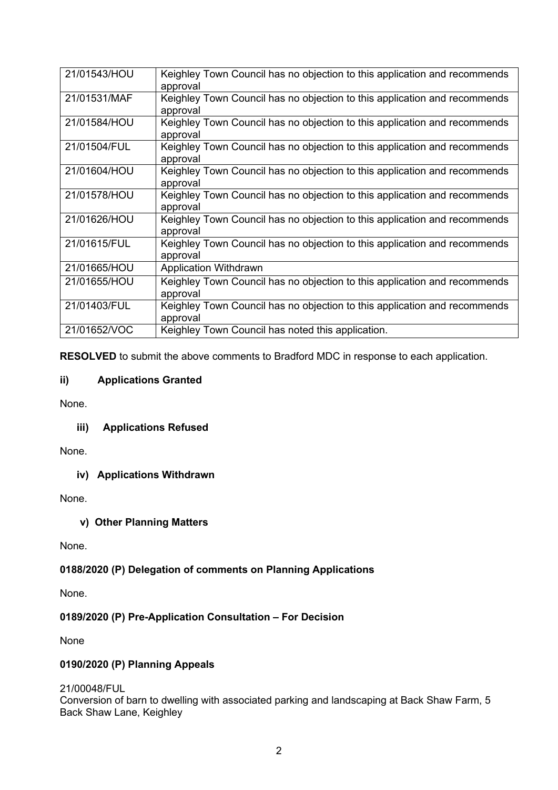| 21/01543/HOU | Keighley Town Council has no objection to this application and recommends<br>approval |
|--------------|---------------------------------------------------------------------------------------|
| 21/01531/MAF | Keighley Town Council has no objection to this application and recommends<br>approval |
| 21/01584/HOU | Keighley Town Council has no objection to this application and recommends<br>approval |
| 21/01504/FUL | Keighley Town Council has no objection to this application and recommends<br>approval |
| 21/01604/HOU | Keighley Town Council has no objection to this application and recommends<br>approval |
| 21/01578/HOU | Keighley Town Council has no objection to this application and recommends<br>approval |
| 21/01626/HOU | Keighley Town Council has no objection to this application and recommends<br>approval |
| 21/01615/FUL | Keighley Town Council has no objection to this application and recommends<br>approval |
| 21/01665/HOU | <b>Application Withdrawn</b>                                                          |
| 21/01655/HOU | Keighley Town Council has no objection to this application and recommends<br>approval |
| 21/01403/FUL | Keighley Town Council has no objection to this application and recommends<br>approval |
| 21/01652/VOC | Keighley Town Council has noted this application.                                     |

**RESOLVED** to submit the above comments to Bradford MDC in response to each application.

### **ii) Applications Granted**

None.

### **iii) Applications Refused**

None.

**iv) Applications Withdrawn** 

None.

#### **v) Other Planning Matters**

None.

### **0188/2020 (P) Delegation of comments on Planning Applications**

None.

### **0189/2020 (P) Pre-Application Consultation – For Decision**

None

### **0190/2020 (P) Planning Appeals**

21/00048/FUL

Conversion of barn to dwelling with associated parking and landscaping at Back Shaw Farm, 5 Back Shaw Lane, Keighley